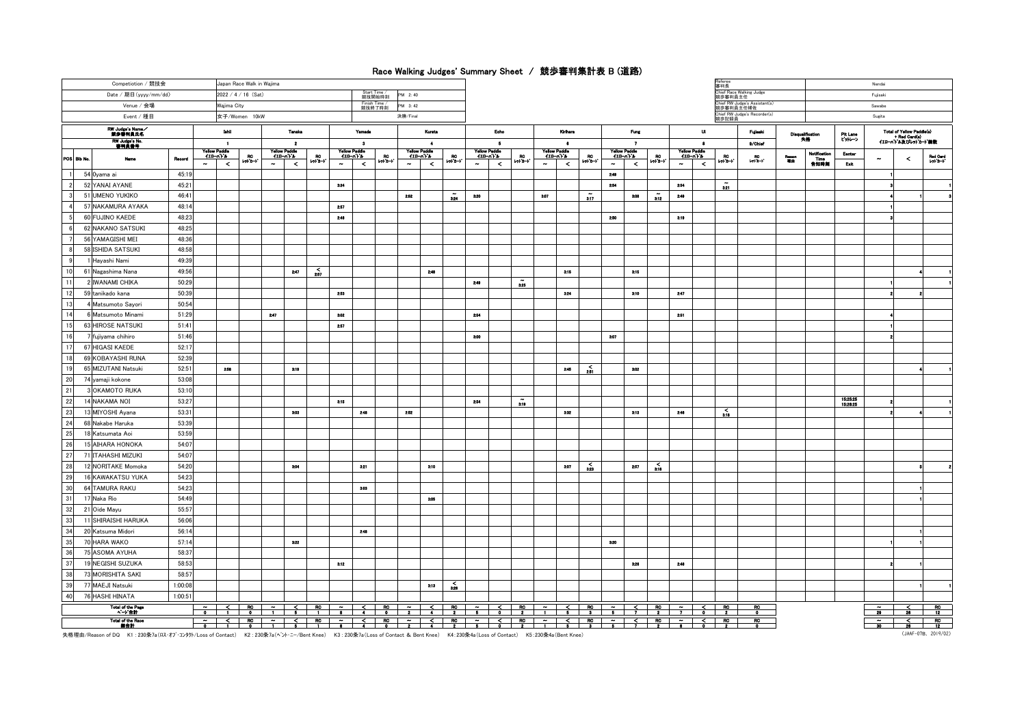## Race Walking Judges' Summary Sheet / 競歩審判集計表 B (道路)

| Competiotion / 競技会<br>Japan Race Walk in Wajima |                                                   |                                     |                                                                  |          |                                                |                 |        |                                           |                             |                                                                                                                                                                           |                 |                           |                                            |                    |                          |                                         |                      |                                                |                          |                     |                                               |                    | Referee<br>審判長<br>Chief Race Walking Judge |                  |                        |                             | Nendai               |                                                                                         |                |                       |
|-------------------------------------------------|---------------------------------------------------|-------------------------------------|------------------------------------------------------------------|----------|------------------------------------------------|-----------------|--------|-------------------------------------------|-----------------------------|---------------------------------------------------------------------------------------------------------------------------------------------------------------------------|-----------------|---------------------------|--------------------------------------------|--------------------|--------------------------|-----------------------------------------|----------------------|------------------------------------------------|--------------------------|---------------------|-----------------------------------------------|--------------------|--------------------------------------------|------------------|------------------------|-----------------------------|----------------------|-----------------------------------------------------------------------------------------|----------------|-----------------------|
| Date / 期日 (yyyy/mm/dd)<br>2022 / 4 / 16 (Sat)   |                                                   |                                     |                                                                  |          |                                                |                 |        |                                           | <b>Start Time</b><br>競技開始時刻 | PM 2:40                                                                                                                                                                   |                 |                           |                                            |                    |                          |                                         |                      |                                                |                          |                     |                                               |                    | 競歩審判員主任                                    |                  |                        |                             |                      | Fujisaki                                                                                |                |                       |
| Venue / 会場                                      | Finish Time /<br>競技終了時刻<br>PM 3:42<br>Wajima City |                                     |                                                                  |          |                                                |                 |        |                                           |                             |                                                                                                                                                                           |                 |                           |                                            |                    |                          |                                         |                      |                                                |                          |                     | hief RW Judge's Assistant(s)<br>競歩審判員主任補佐     |                    | Sawahe                                     |                  |                        |                             |                      |                                                                                         |                |                       |
| Event / 種目                                      | 女子/Women 10kW                                     |                                     |                                                                  |          |                                                |                 |        | 決勝/Final                                  |                             |                                                                                                                                                                           |                 |                           |                                            |                    |                          |                                         |                      |                                                |                          |                     | Chief RW Judge's Recorder(s)<br>競歩記録員         |                    | Sugita                                     |                  |                        |                             |                      |                                                                                         |                |                       |
| RW Judge's Name                                 |                                                   |                                     | lshii                                                            |          | Tanaka                                         |                 |        | Yamada                                    |                             | Kurata                                                                                                                                                                    | Eoho            |                           |                                            | Krihere            |                          |                                         |                      | Fung                                           |                          |                     | u                                             |                    | Fujisaki                                   |                  | Disqualification<br>失格 | Pit Lane<br>ビットレーン          |                      | <b>Total of Yellow Paddle(s)</b><br>- Red Card(s)<br>- Red Card(s)<br>イエローハトル及びレットカート線数 |                |                       |
| RW Judge's No.<br>審判員番号                         |                                                   | $\blacksquare$                      |                                                                  |          | $\overline{\mathbf{2}}$                        |                 | 3      |                                           |                             | $\bullet$                                                                                                                                                                 |                 | $\overline{5}$            |                                            |                    | $\bullet$                |                                         |                      |                                                | $\overline{\phantom{a}}$ |                     |                                               | $\bullet$          |                                            | 9/Chief          |                        |                             |                      |                                                                                         |                |                       |
| POS Bib No.<br>Name                             | Rocord                                            | $\sim$                              | Yellow Paddle<br>$410 - n + 1$<br>RC.<br>$19 - 3 - 1$<br>$\prec$ | $\sim$   | <b>Yellow Paddle</b><br>$111 - 111$<br>$\prec$ | $P^{\text{RO}}$ | $\sim$ | Yellow Paddie<br>$110 - n + h$<br>$\prec$ | BO.<br>lol I-l              | Yellow Paddle<br>$420 - n + 1$<br>$\sim$<br>$\leq$                                                                                                                        | BO.<br>$-1 - 1$ | $\sim$                    | Yellow Paddle<br>$(20 - n)$<br>$\leq$      | $\frac{RC}{r^2-1}$ | $\sim$                   | Yellow Paddle<br>$(10 - n)^2$<br>$\leq$ | $P^{\rm CO}_{\rm H}$ | <b>Yellow Paddle</b><br>$(10 - n)^2$<br>$\sim$ | $\leq$                   | BO.<br>$10 + 3 - 1$ | <b>Yellow Paddle</b><br>$410 - 116$<br>$\sim$ | $\prec$            | BO <sub>1</sub><br>$10 + 1 - 1$            | $-10$            | Reseon<br>Till de      | Notificatio<br>Time<br>告知時刻 | Eenter<br>Exit       |                                                                                         | $\hat{}$       | Red Card<br>レッドカード    |
| 54 Oyama ai                                     | 45:19                                             |                                     |                                                                  |          |                                                |                 |        |                                           |                             |                                                                                                                                                                           |                 |                           |                                            |                    |                          |                                         |                      | 2:49                                           |                          |                     |                                               |                    |                                            |                  |                        |                             |                      |                                                                                         |                |                       |
| 52 YANAI AYANE<br>$\overline{2}$                | 45:21                                             |                                     |                                                                  |          |                                                |                 | 3:24   |                                           |                             |                                                                                                                                                                           |                 |                           |                                            |                    |                          |                                         |                      | 2.54                                           |                          |                     | 2.54                                          |                    | 321                                        |                  |                        |                             |                      |                                                                                         |                |                       |
| 51 UMENO YUKIKO                                 | 46:41                                             |                                     |                                                                  |          |                                                |                 |        |                                           |                             | 2.62                                                                                                                                                                      | $\tilde{u}$     | 3:20                      |                                            |                    | 3.07                     |                                         | $\overline{317}$     |                                                | 3:08                     | $\tilde{a}$         | 2:49                                          |                    |                                            |                  |                        |                             |                      |                                                                                         |                |                       |
| 57 NAKAMURA AYAKA                               | 48:14                                             |                                     |                                                                  |          |                                                |                 | 2:57   |                                           |                             |                                                                                                                                                                           |                 |                           |                                            |                    |                          |                                         |                      |                                                |                          |                     |                                               |                    |                                            |                  |                        |                             |                      |                                                                                         |                |                       |
| 60 FUJINO KAEDE<br>5                            | 48:23                                             |                                     |                                                                  |          |                                                |                 | 2:48   |                                           |                             |                                                                                                                                                                           |                 |                           |                                            |                    |                          |                                         |                      | 2:50                                           |                          |                     | 3:19                                          |                    |                                            |                  |                        |                             |                      |                                                                                         |                |                       |
| 6<br>62 NAKANO SATSUKI                          | 48:25                                             |                                     |                                                                  |          |                                                |                 |        |                                           |                             |                                                                                                                                                                           |                 |                           |                                            |                    |                          |                                         |                      |                                                |                          |                     |                                               |                    |                                            |                  |                        |                             |                      |                                                                                         |                |                       |
| 56 YAMAGISHI MEI                                | 48:36                                             |                                     |                                                                  |          |                                                |                 |        |                                           |                             |                                                                                                                                                                           |                 |                           |                                            |                    |                          |                                         |                      |                                                |                          |                     |                                               |                    |                                            |                  |                        |                             |                      |                                                                                         |                |                       |
| $\mathbf{R}$<br>58 ISHIDA SATSUKI               | 48:58                                             |                                     |                                                                  |          |                                                |                 |        |                                           |                             |                                                                                                                                                                           |                 |                           |                                            |                    |                          |                                         |                      |                                                |                          |                     |                                               |                    |                                            |                  |                        |                             |                      |                                                                                         |                |                       |
| 9<br>1 Hayashi Nami                             | 49:39                                             |                                     |                                                                  |          |                                                |                 |        |                                           |                             |                                                                                                                                                                           |                 |                           |                                            |                    |                          |                                         |                      |                                                |                          |                     |                                               |                    |                                            |                  |                        |                             |                      |                                                                                         |                |                       |
| 10<br>61 Nagashima Nana                         | 49:56                                             |                                     |                                                                  |          | 2:47                                           | $\sum_{257}$    |        |                                           |                             | 2:48                                                                                                                                                                      |                 |                           |                                            |                    |                          | 3.15                                    |                      |                                                | 3.15                     |                     |                                               |                    |                                            |                  |                        |                             |                      |                                                                                         |                |                       |
| 11<br>2 IWANAMI CHIKA                           | 50:29                                             |                                     |                                                                  |          |                                                |                 |        |                                           |                             |                                                                                                                                                                           |                 | 2:49                      |                                            | $\tilde{25}$       |                          |                                         |                      |                                                |                          |                     |                                               |                    |                                            |                  |                        |                             |                      |                                                                                         |                |                       |
| 12<br>59 tanikado kana                          | 50:39                                             |                                     |                                                                  |          |                                                |                 | 2.53   |                                           |                             |                                                                                                                                                                           |                 |                           |                                            |                    |                          | 3:24                                    |                      |                                                | 3:10                     |                     | 2.47                                          |                    |                                            |                  |                        |                             |                      |                                                                                         |                |                       |
| 13<br>4 Matsumoto Sayori                        | 50:54                                             |                                     |                                                                  |          |                                                |                 |        |                                           |                             |                                                                                                                                                                           |                 |                           |                                            |                    |                          |                                         |                      |                                                |                          |                     |                                               |                    |                                            |                  |                        |                             |                      |                                                                                         |                |                       |
| 14<br>6 Matsumoto Minami                        | 51:29                                             |                                     |                                                                  | $2 - 47$ |                                                |                 | 3:02   |                                           |                             |                                                                                                                                                                           |                 | 2:54                      |                                            |                    |                          |                                         |                      |                                                |                          |                     | 2:51                                          |                    |                                            |                  |                        |                             |                      |                                                                                         |                |                       |
| 15<br>63 HIROSE NATSUKI                         | 51:41                                             |                                     |                                                                  |          |                                                |                 | 257    |                                           |                             |                                                                                                                                                                           |                 |                           |                                            |                    |                          |                                         |                      |                                                |                          |                     |                                               |                    |                                            |                  |                        |                             |                      |                                                                                         |                |                       |
| 16<br>7 fujiyama chihiro                        | 51:46                                             |                                     |                                                                  |          |                                                |                 |        |                                           |                             |                                                                                                                                                                           |                 | $300$                     |                                            |                    |                          |                                         |                      | 3:07                                           |                          |                     |                                               |                    |                                            |                  |                        |                             |                      |                                                                                         |                |                       |
| 17<br>67 HIGASI KAEDE                           | 52:17                                             |                                     |                                                                  |          |                                                |                 |        |                                           |                             |                                                                                                                                                                           |                 |                           |                                            |                    |                          |                                         |                      |                                                |                          |                     |                                               |                    |                                            |                  |                        |                             |                      |                                                                                         |                |                       |
| 18<br>69 KOBAYASHI RUNA                         | 52:39                                             |                                     |                                                                  |          |                                                |                 |        |                                           |                             |                                                                                                                                                                           |                 |                           |                                            |                    |                          |                                         |                      |                                                |                          |                     |                                               |                    |                                            |                  |                        |                             |                      |                                                                                         |                |                       |
| 19<br>65 MIZUTANI Natsuki                       | 52:51                                             |                                     | 2:58                                                             |          | 3:19                                           |                 |        |                                           |                             |                                                                                                                                                                           |                 |                           |                                            |                    |                          | 2:45                                    | $\frac{2}{201}$      |                                                | 3:02                     |                     |                                               |                    |                                            |                  |                        |                             |                      |                                                                                         |                |                       |
| 20<br>74 yamaji kokone                          | 53:08                                             |                                     |                                                                  |          |                                                |                 |        |                                           |                             |                                                                                                                                                                           |                 |                           |                                            |                    |                          |                                         |                      |                                                |                          |                     |                                               |                    |                                            |                  |                        |                             |                      |                                                                                         |                |                       |
| 21<br>3 OKAMOTO RUKA                            | 53:10                                             |                                     |                                                                  |          |                                                |                 |        |                                           |                             |                                                                                                                                                                           |                 |                           |                                            |                    |                          |                                         |                      |                                                |                          |                     |                                               |                    |                                            |                  |                        |                             |                      |                                                                                         |                |                       |
| 22<br>14 NAKAMA NOI                             | 53:27                                             |                                     |                                                                  |          |                                                |                 | 3.15   |                                           |                             |                                                                                                                                                                           |                 | 2.54                      |                                            | $\tilde{319}$      |                          |                                         |                      |                                                |                          |                     |                                               |                    |                                            |                  |                        |                             | 15:25:25<br>15:26:25 |                                                                                         |                |                       |
| 23<br>13 MIYOSHI Ayana                          | 53:31                                             |                                     |                                                                  |          | 3:03                                           |                 |        | 2:48                                      |                             | 2:52                                                                                                                                                                      |                 |                           |                                            |                    |                          | 3:32                                    |                      |                                                | 3.13                     |                     | 2:18                                          |                    | $\frac{2}{310}$                            |                  |                        |                             |                      |                                                                                         |                |                       |
| 24<br>68 Nakabe Haruka                          | 53:39                                             |                                     |                                                                  |          |                                                |                 |        |                                           |                             |                                                                                                                                                                           |                 |                           |                                            |                    |                          |                                         |                      |                                                |                          |                     |                                               |                    |                                            |                  |                        |                             |                      |                                                                                         |                |                       |
| 25<br>18 Katsumata Aoi                          | 53:59                                             |                                     |                                                                  |          |                                                |                 |        |                                           |                             |                                                                                                                                                                           |                 |                           |                                            |                    |                          |                                         |                      |                                                |                          |                     |                                               |                    |                                            |                  |                        |                             |                      |                                                                                         |                |                       |
| 26<br>15 AIHARA HONOKA                          | 54:07                                             |                                     |                                                                  |          |                                                |                 |        |                                           |                             |                                                                                                                                                                           |                 |                           |                                            |                    |                          |                                         |                      |                                                |                          |                     |                                               |                    |                                            |                  |                        |                             |                      |                                                                                         |                |                       |
| 27<br>71 ITAHASHI MIZUKI                        | 54:07                                             |                                     |                                                                  |          |                                                |                 |        |                                           |                             |                                                                                                                                                                           |                 |                           |                                            |                    |                          |                                         |                      |                                                |                          |                     |                                               |                    |                                            |                  |                        |                             |                      |                                                                                         |                |                       |
| 28<br>12 NORITAKE Momoka                        | 54:20                                             |                                     |                                                                  |          | 3.04                                           |                 |        | 321                                       |                             | 3.10                                                                                                                                                                      |                 |                           |                                            |                    |                          | 3.07                                    | $\frac{2}{323}$      |                                                | 257                      | $\frac{2}{16}$      |                                               |                    |                                            |                  |                        |                             |                      |                                                                                         |                |                       |
| 29<br>16 KAWAKATSU YUKA                         | 54:23                                             |                                     |                                                                  |          |                                                |                 |        |                                           |                             |                                                                                                                                                                           |                 |                           |                                            |                    |                          |                                         |                      |                                                |                          |                     |                                               |                    |                                            |                  |                        |                             |                      |                                                                                         |                |                       |
| 30<br>64 TAMURA RAKU                            | 54:23                                             |                                     |                                                                  |          |                                                |                 |        | 3:03                                      |                             |                                                                                                                                                                           |                 |                           |                                            |                    |                          |                                         |                      |                                                |                          |                     |                                               |                    |                                            |                  |                        |                             |                      |                                                                                         |                |                       |
| 31<br>17 Naka Rio                               | 54:49                                             |                                     |                                                                  |          |                                                |                 |        |                                           |                             | 3.05                                                                                                                                                                      |                 |                           |                                            |                    |                          |                                         |                      |                                                |                          |                     |                                               |                    |                                            |                  |                        |                             |                      |                                                                                         |                |                       |
| 32<br>21 Oide Mayu                              | 55:57                                             |                                     |                                                                  |          |                                                |                 |        |                                           |                             |                                                                                                                                                                           |                 |                           |                                            |                    |                          |                                         |                      |                                                |                          |                     |                                               |                    |                                            |                  |                        |                             |                      |                                                                                         |                |                       |
| 33<br>11 SHIRAISHI HARUKA                       | 56:06                                             |                                     |                                                                  |          |                                                |                 |        |                                           |                             |                                                                                                                                                                           |                 |                           |                                            |                    |                          |                                         |                      |                                                |                          |                     |                                               |                    |                                            |                  |                        |                             |                      |                                                                                         |                |                       |
| 34<br>20 Katsuma Midori                         | 56:14                                             |                                     |                                                                  |          |                                                |                 |        | 2.48                                      |                             |                                                                                                                                                                           |                 |                           |                                            |                    |                          |                                         |                      |                                                |                          |                     |                                               |                    |                                            |                  |                        |                             |                      |                                                                                         |                |                       |
| 35<br>70 HARA WAKO                              | 57:14                                             |                                     |                                                                  |          | 3:22                                           |                 |        |                                           |                             |                                                                                                                                                                           |                 |                           |                                            |                    |                          |                                         |                      | 3:20                                           |                          |                     |                                               |                    |                                            |                  |                        |                             |                      |                                                                                         |                |                       |
| 36<br>75 ASOMA AYUHA                            | 58:37                                             |                                     |                                                                  |          |                                                |                 |        |                                           |                             |                                                                                                                                                                           |                 |                           |                                            |                    |                          |                                         |                      |                                                |                          |                     |                                               |                    |                                            |                  |                        |                             |                      |                                                                                         |                |                       |
| 37<br>19 NEGISHI SUZUKA                         | 58:53                                             |                                     |                                                                  |          |                                                |                 | 3.12   |                                           |                             |                                                                                                                                                                           |                 |                           |                                            |                    |                          |                                         |                      |                                                | 3:26                     |                     | 2:48                                          |                    |                                            |                  |                        |                             |                      |                                                                                         |                |                       |
| 38<br>73 MORISHITA SAKI                         | 58:57                                             |                                     |                                                                  |          |                                                |                 |        |                                           |                             |                                                                                                                                                                           |                 |                           |                                            |                    |                          |                                         |                      |                                                |                          |                     |                                               |                    |                                            |                  |                        |                             |                      |                                                                                         |                |                       |
| 39<br>77 MAEJI Natsuki                          | 1:00:08                                           |                                     |                                                                  |          |                                                |                 |        |                                           |                             | 3:13                                                                                                                                                                      | $\frac{6}{200}$ |                           |                                            |                    |                          |                                         |                      |                                                |                          |                     |                                               |                    |                                            |                  |                        |                             |                      |                                                                                         |                |                       |
| 40<br><b>76 HASHI HINATA</b>                    | 1:00:51                                           |                                     |                                                                  |          |                                                |                 |        |                                           |                             |                                                                                                                                                                           |                 |                           |                                            |                    |                          |                                         |                      |                                                |                          |                     |                                               |                    |                                            |                  |                        |                             |                      |                                                                                         |                |                       |
| Total of the Page<br>ページ合計                      |                                                   |                                     |                                                                  |          |                                                |                 |        |                                           |                             | $\begin{array}{c c c c c c c c c} \hline \text{RO} & \sim & & & \text{CO} & \text{R} \\ \hline \text{O} & \text{2} & \text{4} & \text{2} & \text{4} \\\hline \end{array}$ |                 |                           | $\frac{2}{5}$ $\frac{5}{9}$ $\frac{10}{2}$ |                    |                          |                                         |                      |                                                |                          |                     |                                               |                    |                                            | RO.<br>$\bullet$ |                        |                             |                      | $\ddot{\phantom{0}}$<br>$\overline{\mathbf{z}}$                                         | $\frac{2}{36}$ | RO <sub>.</sub><br>12 |
| Total of the Race<br>総合計                        |                                                   | $\sim$ 1<br>$\overline{\mathbf{0}}$ |                                                                  |          |                                                |                 |        |                                           | $rac{RC}{0}$                | $\cdot$ $\overline{\phantom{0}}$<br>$\overline{\phantom{a}}$                                                                                                              | $\overline{R}$  | $\ddot{\phantom{0}}$<br>5 | $\overline{\phantom{a}}$                   | R <sup>C</sup>     | $\overline{\phantom{a}}$ | $\zeta$                                 |                      |                                                |                          |                     |                                               | $\overline{\cdot}$ | $\overline{3}$                             | RC               |                        |                             |                      | 30                                                                                      |                | $rac{RC}{12}$         |
|                                                 |                                                   |                                     |                                                                  |          |                                                |                 |        |                                           |                             |                                                                                                                                                                           |                 |                           |                                            |                    |                          |                                         |                      |                                                |                          |                     |                                               |                    |                                            |                  |                        |                             |                      |                                                                                         |                |                       |

失格理由/Reason of DQ K1 : 230条7a(ロス・オブ・コンタりト/Loss of Contact) K2 : 230条7a(ヘント・ニー/Bent Knee) K3 : 230条7a(Loss of Contact) K4:230条4a(Loss of Contact) K5:230条4a(Bent Knee)

(JAAF-07B. 2019/02)